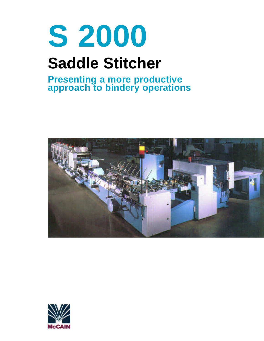# **S 2000 Saddle Stitcher**

# **Presenting a more productive approach to bindery operations**



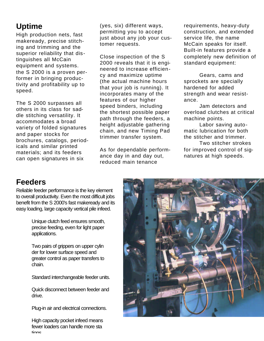## **Uptime**

High production nets, fast makeready, precise stitching and trimming and the superior reliability that distinguishes all McCain equipment and systems. the S 2000 is a proven performer in bringing productivity and profitability up to speed.

The S 2000 surpasses all others in its class for saddle stitching versatility. It accommodates a broad variety of folded signatures and paper stocks for brochures, catalogs, periodicals and similar printed materials; and its feeders can open signatures in six

(yes, six) different ways, permitting you to accept just about any job your customer requests.

Close inspection of the S 2000 reveals that it is engineered to increase efficiency and maximize uptime (the actual machine hours that your job is running). It incorporates many of the features of our higher speed binders, including the shortest possible paper path through the feeders, a height adjustable gathering chain, and new Timing Pad trimmer transfer system.

As for dependable performance day in and day out, reduced main tenance

requirements, heavy-duty construction, and extended service life, the name McCain speaks for itself. Built-in features provide a completely new definition of standard equipment:

Gears, cams and sprockets are specially hardened for added strength and wear resistance.

Jam detectors and overload clutches at critical machine points.

Labor saving automatic lubrication for both the stitcher and trimmer.

Two stitcher strokes for improved control of signatures at high speeds.

## **Feeders**

Reliable feeder performance is the key element to overall productivity. Even the most difficult jobs benefit from the S 2000's fast makeready and its easy loading, large capacity vertical pile infeed.

> Unique clutch feed ensures smooth, precise feeding, even for light paper applications.

> Two pairs of grippers on upper cylin der for lower surface speed and greater control as paper transfers to chain.

Standard interchangeable feeder units.

Quick disconnect between feeder and drive.

Plug-in air and electrical connections.

High capacity pocket infeed means fewer loaders can handle more sta tions.

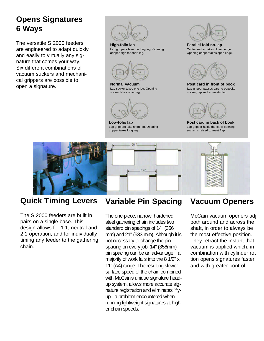# **Opens Signatures 6 Ways**

The versatile S 2000 feeders are engineered to adapt quickly and easily to virtually any signature that comes your way. Six different combinations of vacuum suckers and mechanical grippers are possible to open a signature.



**High-folio lap** Lap grippers take the long leg. Opening gripper digs for short leg.



**Normal vacuum** Lap sucker takes one leg. Opening sucker takes other leg.



**Low-folio lap** Lap grippers take short leg. Opening gripper takes long leg.



**Parallel fold no-lap** Center sucker takes closed edge. Opening gripper takes open edge.



**Post card in front of book** Lap gripper passes card to opposite sucker; lap sucker meets flap.



**Post card in back of book** Lap gripper holds the card; opening sucker is raised to meet flap.



## **Quick Timing Levers**

The S 2000 feeders are built in pairs on a single base. This design allows for 1:1, neutral and 2:1 operation, and for individually timing any feeder to the gathering chain.

#### **Variable Pin Spacing**

The one-piece, narrow, hardened steel gathering chain includes two standard pin spacings of 14" (356 mm) and 21" (533 mm). Although it is not necessary to change the pin spacing on every job, 14" (356mm) pin spacing can be an advantage if a majority of work falls into the 8 1/2" x 11" (A4) range. The resulting slower surface speed of the chain combined with McCain's unique signature headup system, allows more accurate signature registration and eliminates "flyup", a problem encountered when running lightweight signatures at higher chain speeds.

#### **Vacuum Openers**

McCain vacuum openers adi both around and across the shaft, in order to always be in the most effective position. They retract the instant that vacuum is applied which, in combination with cylinder rot tion opens signatures faster and with greater control.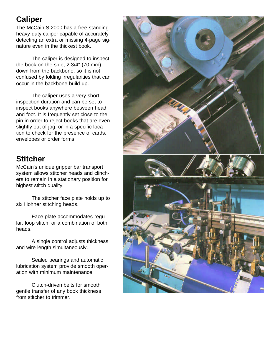## **Caliper**

The McCain S 2000 has a free-standing heavy-duty caliper capable of accurately detecting an extra or missing 4-page signature even in the thickest book.

The caliper is designed to inspect the book on the side, 2 3/4" (70 mm) down from the backbone, so it is not confused by folding irregularities that can occur in the backbone build-up.

The caliper uses a very short inspection duration and can be set to inspect books anywhere between head and foot. It is frequently set close to the pin in order to reject books that are even slightly out of jog, or in a specific location to check for the presence of cards, envelopes or order forms.

# **Stitcher**

McCain's unique gripper bar transport system allows stitcher heads and clinchers to remain in a stationary position for highest stitch quality.

The stitcher face plate holds up to six Hohner stitching heads.

Face plate accommodates regular, loop stitch, or a combination of both heads.

A single control adjusts thickness and wire length simultaneously.

Sealed bearings and automatic lubrication system provide smooth operation with minimum maintenance.

Clutch-driven belts for smooth gentle transfer of any book thickness from stitcher to trimmer.

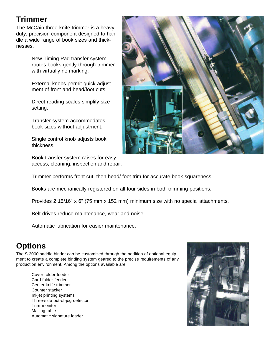# **Trimmer**

The McCain three-knife trimmer is a heavyduty, precision component designed to handle a wide range of book sizes and thicknesses.

> New Timing Pad transfer system routes books gently through trimmer with virtually no marking.

External knobs permit quick adjust ment of front and head/foot cuts.

Direct reading scales simplify size setting.

Transfer system accommodates book sizes without adjustment.

Single control knob adjusts book thickness.

Book transfer system raises for easy access, cleaning, inspection and repair.



Trimmer performs front cut, then head/ foot trim for accurate book squareness.

Books are mechanically registered on all four sides in both trimming positions.

Provides 2 15/16" x 6" (75 mm x 152 mm) minimum size with no special attachments.

Belt drives reduce maintenance, wear and noise.

Automatic lubrication for easier maintenance.

## **Options**

The S 2000 saddle binder can be customized through the addition of optional equipment to create a complete binding system geared to the precise requirements of any production environment. Among the options available are:

Cover folder feeder Card folder feeder Center knife trimmer Counter stacker Inkjet printing systems Three-side out-of-jog detector Trim monitor Mailing table Automatic signature loader